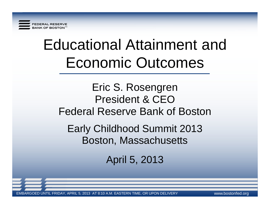

# Educational Attainment and Economic Outcomes

### Eric S. Rosengren President & CEO Federal Reserve Bank of Boston

Early Childhood Summit 2013 Boston, Massachusetts

April 5, 2013

. FRIDAY, APRIL 5, 2013 AT 8:10 A.M. EASTERN TIME, OR UPON DELIVERY www.bostonfed.org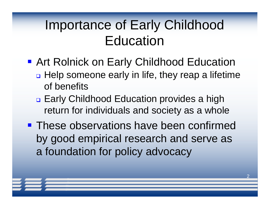## Importance of Early Childhood **Education**

- **Art Rolnick on Early Childhood Education** □ Help someone early in life, they reap a lifetime of benefits
	- **<u>D</u>** Early Childhood Education provides a high return for individuals and society as a whole
- **These observations have been confirmed** by good empirical research and serve as a foundation for policy advocacy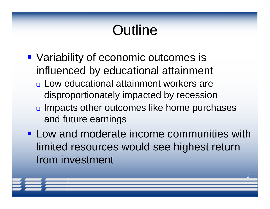# **Outline**

- Variability of economic outcomes is influenced by educational attainment
	- **<u>n</u>** Low educational attainment workers are disproportionately impacted by recession
	- **a** Impacts other outcomes like home purchases and future earnings
- **Low and moderate income communities with** limited resources would see highest return from investment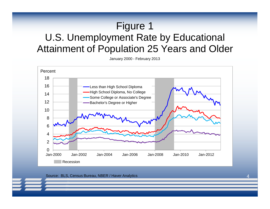#### Figure 1 U.S. Unemployment Rate by Educational Attainment of Population 25 Years and Older

January 2000 - February 2013



#### Source: BLS, Census Bureau, NBER / Haver Analytics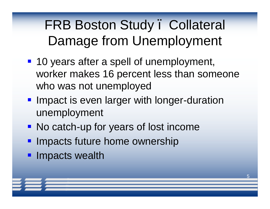FRB Boston Study. Collateral Damage from Unemployment

- **10 years after a spell of unemployment,** worker makes 16 percent less than someone who was not unemployed
- **If Impact is even larger with longer-duration** unemployment
- No catch-up for years of lost income
- **Impacts future home ownership**
- **· Impacts wealth**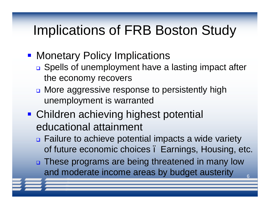### Implications of FRB Boston Study

- Monetary Policy Implications
	- □ Spells of unemployment have a lasting impact after the economy recovers
	- □ More aggressive response to persistently high unemployment is warranted
- Children achieving highest potential educational attainment
	- □ Failure to achieve potential impacts a wide variety of future economic choices – Earnings, Housing, etc.
	- □ These programs are being threatened in many low and moderate income areas by budget austerity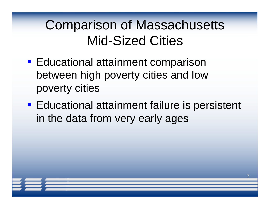### Comparison of Massachusetts Mid-Sized Cities

- **Educational attainment comparison** between high poverty cities and low poverty cities
- **Educational attainment failure is persistent** in the data from very early ages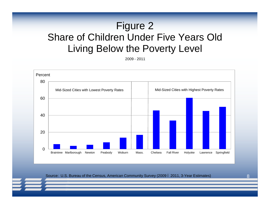#### Figure 2 Share of Children Under Five Years Old Living Below the Poverty Level

2009 - 2011



Source: U.S. Bureau of the Census, American Community Survey (2009 – 2011, 3-Year Estimates)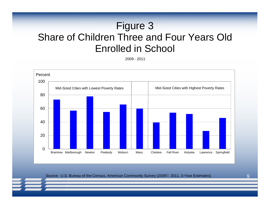#### Figure 3 Share of Children Three and Four Years Old Enrolled in School

2009 - 2011



Source: U.S. Bureau of the Census, American Community Survey (2009 – 2011, 3-Year Estimates)

 $\mathbf Q$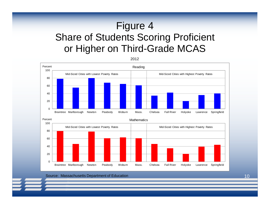### Figure 4 Share of Students Scoring Proficient or Higher on Third-Grade MCAS



#### Source: Massachusetts Department of Education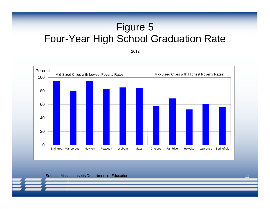#### Figure 5 Four-Year High School Graduation Rate

2012



Source: Massachusetts Department of Education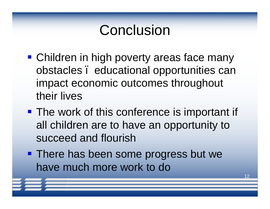## Conclusion

- Children in high poverty areas face many obstacles – educational opportunities can impact economic outcomes throughout their lives
- **The work of this conference is important if** all children are to have an opportunity to succeed and flourish
- **There has been some progress but we** have much more work to do